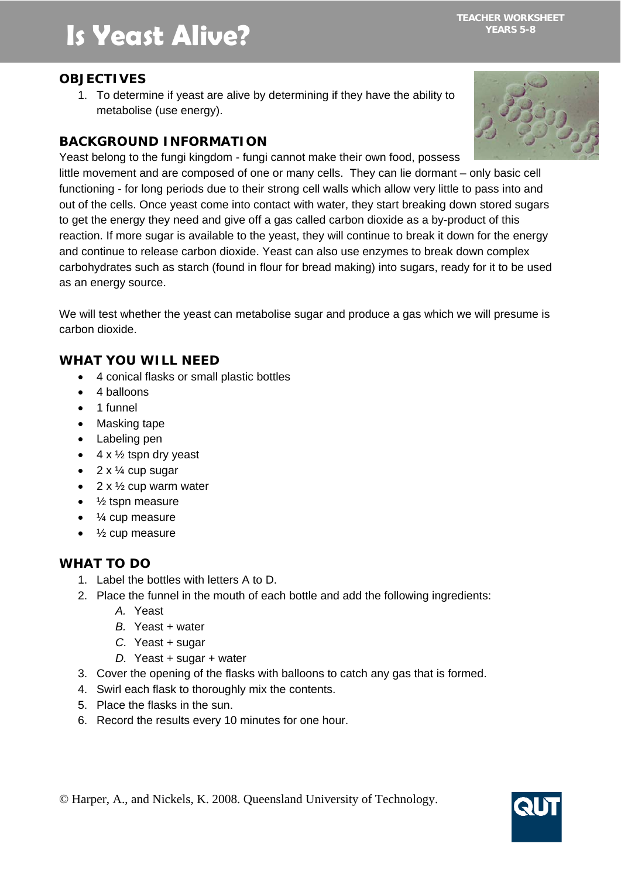# **Is Yeast Alive?**

## **OBJECTIVES**

1. To determine if yeast are alive by determining if they have the ability to metabolise (use energy).

## **BACKGROUND INFORMATION**

Yeast belong to the fungi kingdom - fungi cannot make their own food, possess little movement and are composed of one or many cells. They can lie dormant – only basic cell functioning - for long periods due to their strong cell walls which allow very little to pass into and out of the cells. Once yeast come into contact with water, they start breaking down stored sugars to get the energy they need and give off a gas called carbon dioxide as a by-product of this reaction. If more sugar is available to the yeast, they will continue to break it down for the energy and continue to release carbon dioxide. Yeast can also use enzymes to break down complex carbohydrates such as starch (found in flour for bread making) into sugars, ready for it to be used as an energy source.

We will test whether the yeast can metabolise sugar and produce a gas which we will presume is carbon dioxide.

## **WHAT YOU WILL NEED**

- 4 conical flasks or small plastic bottles
- 4 balloons
- 1 funnel
- Masking tape
- Labeling pen
- $\bullet$  4 x  $\frac{1}{2}$  tspn dry yeast
- $2 \times \frac{1}{4}$  cup sugar
- $2 \times \frac{1}{2}$  cup warm water
- $\bullet$   $\frac{1}{2}$  tspn measure
- ¼ cup measure
- ½ cup measure

## **WHAT TO DO**

- 1. Label the bottles with letters A to D.
- 2. Place the funnel in the mouth of each bottle and add the following ingredients:
	- *A.* Yeast
	- *B.* Yeast + water
	- *C.* Yeast + sugar
	- *D.* Yeast + sugar + water
- 3. Cover the opening of the flasks with balloons to catch any gas that is formed.
- 4. Swirl each flask to thoroughly mix the contents.
- 5. Place the flasks in the sun.
- 6. Record the results every 10 minutes for one hour.